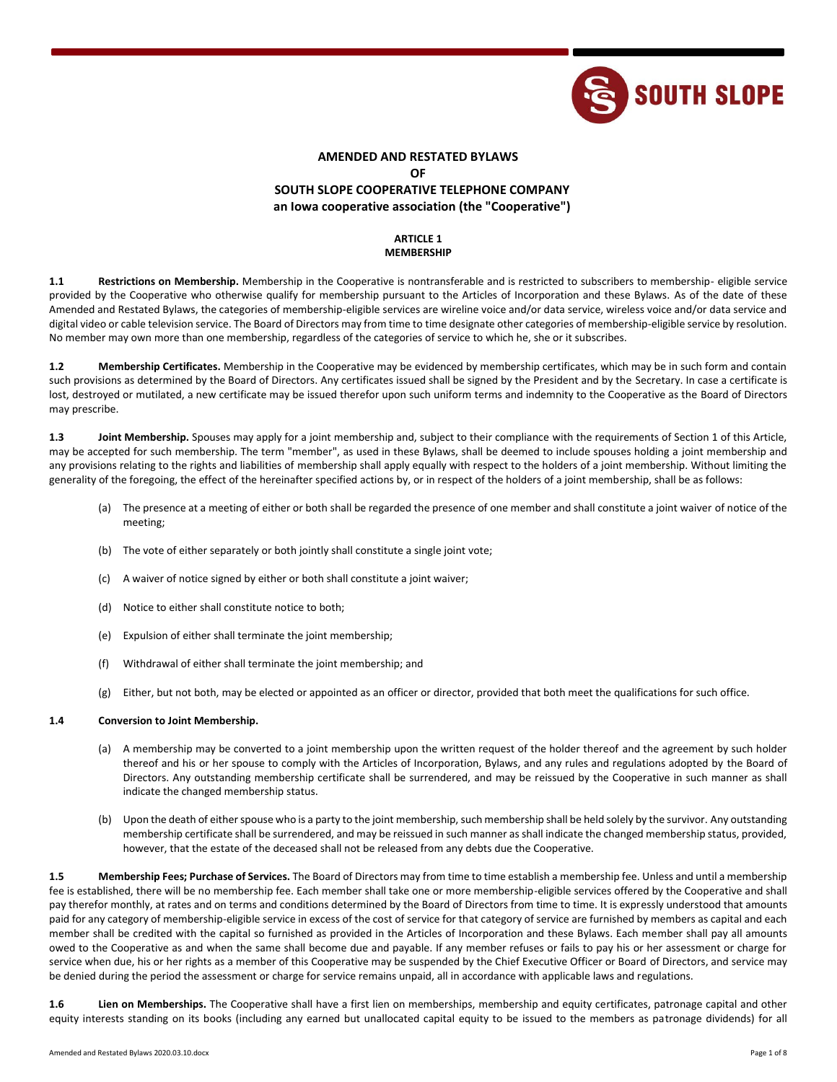

# **AMENDED AND RESTATED BYLAWS**

**OF**

# **SOUTH SLOPE COOPERATIVE TELEPHONE COMPANY an Iowa cooperative association (the "Cooperative")**

# **ARTICLE 1 MEMBERSHIP**

**1.1 Restrictions on Membership.** Membership in the Cooperative is nontransferable and is restricted to subscribers to membership- eligible service provided by the Cooperative who otherwise qualify for membership pursuant to the Articles of Incorporation and these Bylaws. As of the date of these Amended and Restated Bylaws, the categories of membership-eligible services are wireline voice and/or data service, wireless voice and/or data service and digital video or cable television service. The Board of Directors may from time to time designate other categories of membership-eligible service by resolution. No member may own more than one membership, regardless of the categories of service to which he, she or it subscribes.

**1.2 Membership Certificates.** Membership in the Cooperative may be evidenced by membership certificates, which may be in such form and contain such provisions as determined by the Board of Directors. Any certificates issued shall be signed by the President and by the Secretary. In case a certificate is lost, destroyed or mutilated, a new certificate may be issued therefor upon such uniform terms and indemnity to the Cooperative as the Board of Directors may prescribe.

**1.3 Joint Membership.** Spouses may apply for a joint membership and, subject to their compliance with the requirements of Section 1 of this Article, may be accepted for such membership. The term "member", as used in these Bylaws, shall be deemed to include spouses holding a joint membership and any provisions relating to the rights and liabilities of membership shall apply equally with respect to the holders of a joint membership. Without limiting the generality of the foregoing, the effect of the hereinafter specified actions by, or in respect of the holders of a joint membership, shall be as follows:

- (a) The presence at a meeting of either or both shall be regarded the presence of one member and shall constitute a joint waiver of notice of the meeting;
- (b) The vote of either separately or both jointly shall constitute a single joint vote;
- (c) A waiver of notice signed by either or both shall constitute a joint waiver;
- (d) Notice to either shall constitute notice to both;
- (e) Expulsion of either shall terminate the joint membership;
- (f) Withdrawal of either shall terminate the joint membership; and
- (g) Either, but not both, may be elected or appointed as an officer or director, provided that both meet the qualifications for such office.

## **1.4 Conversion to Joint Membership.**

- (a) A membership may be converted to a joint membership upon the written request of the holder thereof and the agreement by such holder thereof and his or her spouse to comply with the Articles of Incorporation, Bylaws, and any rules and regulations adopted by the Board of Directors. Any outstanding membership certificate shall be surrendered, and may be reissued by the Cooperative in such manner as shall indicate the changed membership status.
- (b) Upon the death of either spouse who is a party to the joint membership, such membership shall be held solely by the survivor. Any outstanding membership certificate shall be surrendered, and may be reissued in such manner as shall indicate the changed membership status, provided, however, that the estate of the deceased shall not be released from any debts due the Cooperative.

**1.5 Membership Fees; Purchase of Services.** The Board of Directors may from time to time establish a membership fee. Unless and until a membership fee is established, there will be no membership fee. Each member shall take one or more membership-eligible services offered by the Cooperative and shall pay therefor monthly, at rates and on terms and conditions determined by the Board of Directors from time to time. It is expressly understood that amounts paid for any category of membership-eligible service in excess of the cost of service for that category of service are furnished by members as capital and each member shall be credited with the capital so furnished as provided in the Articles of Incorporation and these Bylaws. Each member shall pay all amounts owed to the Cooperative as and when the same shall become due and payable. If any member refuses or fails to pay his or her assessment or charge for service when due, his or her rights as a member of this Cooperative may be suspended by the Chief Executive Officer or Board of Directors, and service may be denied during the period the assessment or charge for service remains unpaid, all in accordance with applicable laws and regulations.

**1.6 Lien on Memberships.** The Cooperative shall have a first lien on memberships, membership and equity certificates, patronage capital and other equity interests standing on its books (including any earned but unallocated capital equity to be issued to the members as patronage dividends) for all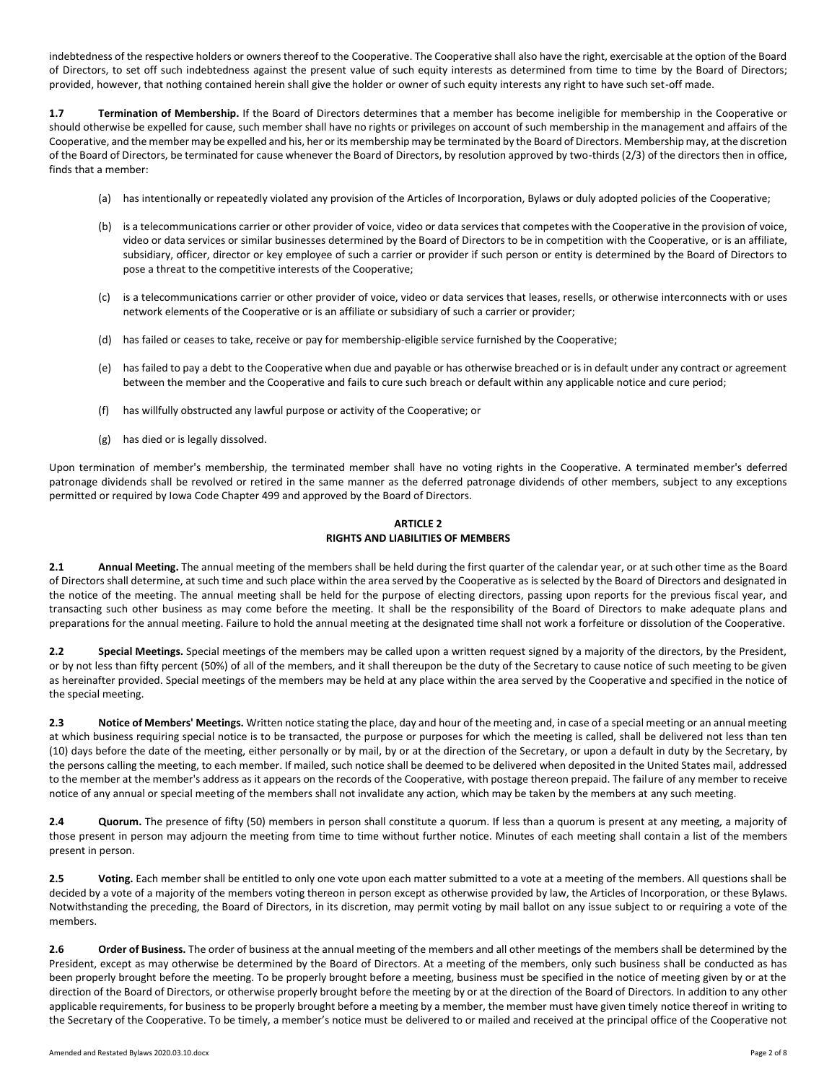indebtedness of the respective holders or owners thereof to the Cooperative. The Cooperative shall also have the right, exercisable at the option of the Board of Directors, to set off such indebtedness against the present value of such equity interests as determined from time to time by the Board of Directors; provided, however, that nothing contained herein shall give the holder or owner of such equity interests any right to have such set-off made.

**1.7 Termination of Membership.** If the Board of Directors determines that a member has become ineligible for membership in the Cooperative or should otherwise be expelled for cause, such member shall have no rights or privileges on account of such membership in the management and affairs of the Cooperative, and the member may be expelled and his, her or its membership may be terminated by the Board of Directors. Membership may, at the discretion of the Board of Directors, be terminated for cause whenever the Board of Directors, by resolution approved by two-thirds (2/3) of the directors then in office, finds that a member:

- (a) has intentionally or repeatedly violated any provision of the Articles of Incorporation, Bylaws or duly adopted policies of the Cooperative;
- (b) is a telecommunications carrier or other provider of voice, video or data services that competes with the Cooperative in the provision of voice, video or data services or similar businesses determined by the Board of Directors to be in competition with the Cooperative, or is an affiliate, subsidiary, officer, director or key employee of such a carrier or provider if such person or entity is determined by the Board of Directors to pose a threat to the competitive interests of the Cooperative;
- (c) is a telecommunications carrier or other provider of voice, video or data services that leases, resells, or otherwise interconnects with or uses network elements of the Cooperative or is an affiliate or subsidiary of such a carrier or provider;
- (d) has failed or ceases to take, receive or pay for membership-eligible service furnished by the Cooperative;
- (e) has failed to pay a debt to the Cooperative when due and payable or has otherwise breached or is in default under any contract or agreement between the member and the Cooperative and fails to cure such breach or default within any applicable notice and cure period;
- (f) has willfully obstructed any lawful purpose or activity of the Cooperative; or
- (g) has died or is legally dissolved.

Upon termination of member's membership, the terminated member shall have no voting rights in the Cooperative. A terminated member's deferred patronage dividends shall be revolved or retired in the same manner as the deferred patronage dividends of other members, subject to any exceptions permitted or required by Iowa Code Chapter 499 and approved by the Board of Directors.

# **ARTICLE 2 RIGHTS AND LIABILITIES OF MEMBERS**

**2.1 Annual Meeting.** The annual meeting of the members shall be held during the first quarter of the calendar year, or at such other time as the Board of Directors shall determine, at such time and such place within the area served by the Cooperative as is selected by the Board of Directors and designated in the notice of the meeting. The annual meeting shall be held for the purpose of electing directors, passing upon reports for the previous fiscal year, and transacting such other business as may come before the meeting. It shall be the responsibility of the Board of Directors to make adequate plans and preparations for the annual meeting. Failure to hold the annual meeting at the designated time shall not work a forfeiture or dissolution of the Cooperative.

**2.2 Special Meetings.** Special meetings of the members may be called upon a written request signed by a majority of the directors, by the President, or by not less than fifty percent (50%) of all of the members, and it shall thereupon be the duty of the Secretary to cause notice of such meeting to be given as hereinafter provided. Special meetings of the members may be held at any place within the area served by the Cooperative and specified in the notice of the special meeting.

**2.3 Notice of Members' Meetings.** Written notice stating the place, day and hour of the meeting and, in case of a special meeting or an annual meeting at which business requiring special notice is to be transacted, the purpose or purposes for which the meeting is called, shall be delivered not less than ten (10) days before the date of the meeting, either personally or by mail, by or at the direction of the Secretary, or upon a default in duty by the Secretary, by the persons calling the meeting, to each member. If mailed, such notice shall be deemed to be delivered when deposited in the United States mail, addressed to the member at the member's address as it appears on the records of the Cooperative, with postage thereon prepaid. The failure of any member to receive notice of any annual or special meeting of the members shall not invalidate any action, which may be taken by the members at any such meeting.

**2.4 Quorum.** The presence of fifty (50) members in person shall constitute a quorum. If less than a quorum is present at any meeting, a majority of those present in person may adjourn the meeting from time to time without further notice. Minutes of each meeting shall contain a list of the members present in person.

**2.5 Voting.** Each member shall be entitled to only one vote upon each matter submitted to a vote at a meeting of the members. All questions shall be decided by a vote of a majority of the members voting thereon in person except as otherwise provided by law, the Articles of Incorporation, or these Bylaws. Notwithstanding the preceding, the Board of Directors, in its discretion, may permit voting by mail ballot on any issue subject to or requiring a vote of the members.

**2.6 Order of Business.** The order of business at the annual meeting of the members and all other meetings of the members shall be determined by the President, except as may otherwise be determined by the Board of Directors. At a meeting of the members, only such business shall be conducted as has been properly brought before the meeting. To be properly brought before a meeting, business must be specified in the notice of meeting given by or at the direction of the Board of Directors, or otherwise properly brought before the meeting by or at the direction of the Board of Directors. In addition to any other applicable requirements, for business to be properly brought before a meeting by a member, the member must have given timely notice thereof in writing to the Secretary of the Cooperative. To be timely, a member's notice must be delivered to or mailed and received at the principal office of the Cooperative not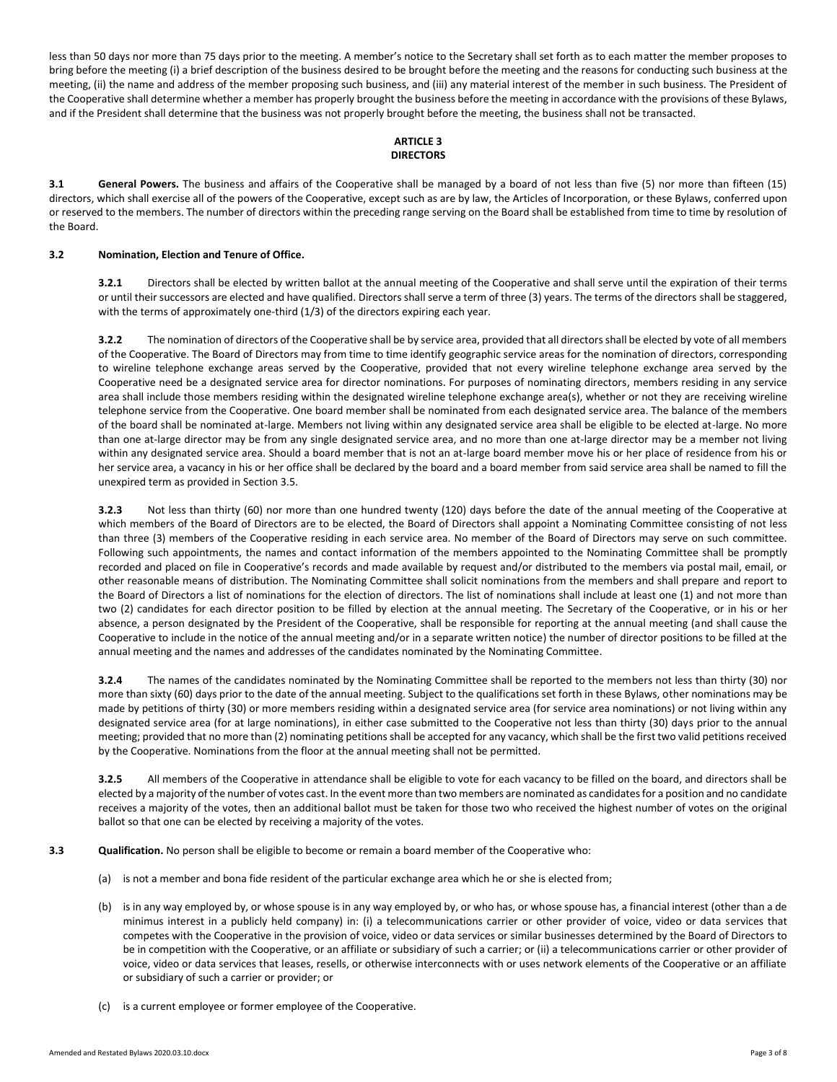less than 50 days nor more than 75 days prior to the meeting. A member's notice to the Secretary shall set forth as to each matter the member proposes to bring before the meeting (i) a brief description of the business desired to be brought before the meeting and the reasons for conducting such business at the meeting, (ii) the name and address of the member proposing such business, and (iii) any material interest of the member in such business. The President of the Cooperative shall determine whether a member has properly brought the business before the meeting in accordance with the provisions of these Bylaws, and if the President shall determine that the business was not properly brought before the meeting, the business shall not be transacted.

## **ARTICLE 3 DIRECTORS**

**3.1 General Powers.** The business and affairs of the Cooperative shall be managed by a board of not less than five (5) nor more than fifteen (15) directors, which shall exercise all of the powers of the Cooperative, except such as are by law, the Articles of Incorporation, or these Bylaws, conferred upon or reserved to the members. The number of directors within the preceding range serving on the Board shall be established from time to time by resolution of the Board.

## **3.2 Nomination, Election and Tenure of Office.**

**3.2.1** Directors shall be elected by written ballot at the annual meeting of the Cooperative and shall serve until the expiration of their terms or until their successors are elected and have qualified. Directors shall serve a term of three (3) years. The terms of the directors shall be staggered, with the terms of approximately one-third (1/3) of the directors expiring each year.

**3.2.2** The nomination of directors of the Cooperative shall be by service area, provided that all directors shall be elected by vote of all members of the Cooperative. The Board of Directors may from time to time identify geographic service areas for the nomination of directors, corresponding to wireline telephone exchange areas served by the Cooperative, provided that not every wireline telephone exchange area served by the Cooperative need be a designated service area for director nominations. For purposes of nominating directors, members residing in any service area shall include those members residing within the designated wireline telephone exchange area(s), whether or not they are receiving wireline telephone service from the Cooperative. One board member shall be nominated from each designated service area. The balance of the members of the board shall be nominated at-large. Members not living within any designated service area shall be eligible to be elected at-large. No more than one at-large director may be from any single designated service area, and no more than one at-large director may be a member not living within any designated service area. Should a board member that is not an at-large board member move his or her place of residence from his or her service area, a vacancy in his or her office shall be declared by the board and a board member from said service area shall be named to fill the unexpired term as provided in Section 3.5.

**3.2.3** Not less than thirty (60) nor more than one hundred twenty (120) days before the date of the annual meeting of the Cooperative at which members of the Board of Directors are to be elected, the Board of Directors shall appoint a Nominating Committee consisting of not less than three (3) members of the Cooperative residing in each service area. No member of the Board of Directors may serve on such committee. Following such appointments, the names and contact information of the members appointed to the Nominating Committee shall be promptly recorded and placed on file in Cooperative's records and made available by request and/or distributed to the members via postal mail, email, or other reasonable means of distribution. The Nominating Committee shall solicit nominations from the members and shall prepare and report to the Board of Directors a list of nominations for the election of directors. The list of nominations shall include at least one (1) and not more than two (2) candidates for each director position to be filled by election at the annual meeting. The Secretary of the Cooperative, or in his or her absence, a person designated by the President of the Cooperative, shall be responsible for reporting at the annual meeting (and shall cause the Cooperative to include in the notice of the annual meeting and/or in a separate written notice) the number of director positions to be filled at the annual meeting and the names and addresses of the candidates nominated by the Nominating Committee.

**3.2.4** The names of the candidates nominated by the Nominating Committee shall be reported to the members not less than thirty (30) nor more than sixty (60) days prior to the date of the annual meeting. Subject to the qualifications set forth in these Bylaws, other nominations may be made by petitions of thirty (30) or more members residing within a designated service area (for service area nominations) or not living within any designated service area (for at large nominations), in either case submitted to the Cooperative not less than thirty (30) days prior to the annual meeting; provided that no more than (2) nominating petitions shall be accepted for any vacancy, which shall be the first two valid petitions received by the Cooperative. Nominations from the floor at the annual meeting shall not be permitted.

**3.2.5** All members of the Cooperative in attendance shall be eligible to vote for each vacancy to be filled on the board, and directors shall be elected by a majority of the number of votes cast. In the event more than two members are nominated as candidates for a position and no candidate receives a majority of the votes, then an additional ballot must be taken for those two who received the highest number of votes on the original ballot so that one can be elected by receiving a majority of the votes.

## **3.3 Qualification.** No person shall be eligible to become or remain a board member of the Cooperative who:

- (a) is not a member and bona fide resident of the particular exchange area which he or she is elected from;
- (b) is in any way employed by, or whose spouse is in any way employed by, or who has, or whose spouse has, a financial interest (other than a de minimus interest in a publicly held company) in: (i) a telecommunications carrier or other provider of voice, video or data services that competes with the Cooperative in the provision of voice, video or data services or similar businesses determined by the Board of Directors to be in competition with the Cooperative, or an affiliate or subsidiary of such a carrier; or (ii) a telecommunications carrier or other provider of voice, video or data services that leases, resells, or otherwise interconnects with or uses network elements of the Cooperative or an affiliate or subsidiary of such a carrier or provider; or
- (c) is a current employee or former employee of the Cooperative.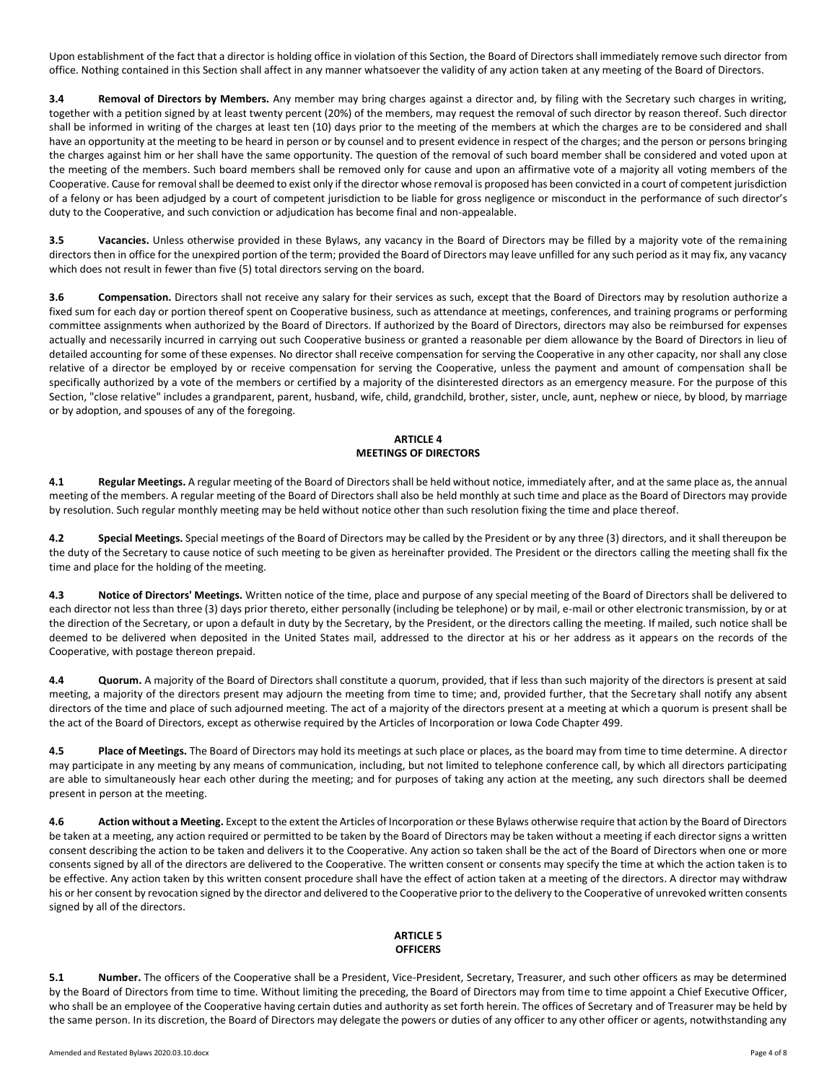Upon establishment of the fact that a director is holding office in violation of this Section, the Board of Directors shall immediately remove such director from office. Nothing contained in this Section shall affect in any manner whatsoever the validity of any action taken at any meeting of the Board of Directors.

**3.4 Removal of Directors by Members.** Any member may bring charges against a director and, by filing with the Secretary such charges in writing, together with a petition signed by at least twenty percent (20%) of the members, may request the removal of such director by reason thereof. Such director shall be informed in writing of the charges at least ten (10) days prior to the meeting of the members at which the charges are to be considered and shall have an opportunity at the meeting to be heard in person or by counsel and to present evidence in respect of the charges; and the person or persons bringing the charges against him or her shall have the same opportunity. The question of the removal of such board member shall be considered and voted upon at the meeting of the members. Such board members shall be removed only for cause and upon an affirmative vote of a majority all voting members of the Cooperative. Cause for removal shall be deemed to exist only if the director whose removal is proposed has been convicted in a court of competent jurisdiction of a felony or has been adjudged by a court of competent jurisdiction to be liable for gross negligence or misconduct in the performance of such director's duty to the Cooperative, and such conviction or adjudication has become final and non-appealable.

**3.5 Vacancies.** Unless otherwise provided in these Bylaws, any vacancy in the Board of Directors may be filled by a majority vote of the remaining directors then in office for the unexpired portion of the term; provided the Board of Directors may leave unfilled for any such period as it may fix, any vacancy which does not result in fewer than five (5) total directors serving on the board.

**3.6 Compensation.** Directors shall not receive any salary for their services as such, except that the Board of Directors may by resolution authorize a fixed sum for each day or portion thereof spent on Cooperative business, such as attendance at meetings, conferences, and training programs or performing committee assignments when authorized by the Board of Directors. If authorized by the Board of Directors, directors may also be reimbursed for expenses actually and necessarily incurred in carrying out such Cooperative business or granted a reasonable per diem allowance by the Board of Directors in lieu of detailed accounting for some of these expenses. No director shall receive compensation for serving the Cooperative in any other capacity, nor shall any close relative of a director be employed by or receive compensation for serving the Cooperative, unless the payment and amount of compensation shall be specifically authorized by a vote of the members or certified by a majority of the disinterested directors as an emergency measure. For the purpose of this Section, "close relative" includes a grandparent, parent, husband, wife, child, grandchild, brother, sister, uncle, aunt, nephew or niece, by blood, by marriage or by adoption, and spouses of any of the foregoing.

# **ARTICLE 4 MEETINGS OF DIRECTORS**

**4.1 Regular Meetings.** A regular meeting of the Board of Directors shall be held without notice, immediately after, and at the same place as, the annual meeting of the members. A regular meeting of the Board of Directors shall also be held monthly at such time and place as the Board of Directors may provide by resolution. Such regular monthly meeting may be held without notice other than such resolution fixing the time and place thereof.

**4.2 Special Meetings.** Special meetings of the Board of Directors may be called by the President or by any three (3) directors, and it shall thereupon be the duty of the Secretary to cause notice of such meeting to be given as hereinafter provided. The President or the directors calling the meeting shall fix the time and place for the holding of the meeting.

**4.3 Notice of Directors' Meetings.** Written notice of the time, place and purpose of any special meeting of the Board of Directors shall be delivered to each director not less than three (3) days prior thereto, either personally (including be telephone) or by mail, e-mail or other electronic transmission, by or at the direction of the Secretary, or upon a default in duty by the Secretary, by the President, or the directors calling the meeting. If mailed, such notice shall be deemed to be delivered when deposited in the United States mail, addressed to the director at his or her address as it appears on the records of the Cooperative, with postage thereon prepaid.

**4.4 Quorum.** A majority of the Board of Directors shall constitute a quorum, provided, that if less than such majority of the directors is present at said meeting, a majority of the directors present may adjourn the meeting from time to time; and, provided further, that the Secretary shall notify any absent directors of the time and place of such adjourned meeting. The act of a majority of the directors present at a meeting at which a quorum is present shall be the act of the Board of Directors, except as otherwise required by the Articles of Incorporation or Iowa Code Chapter 499.

**4.5 Place of Meetings.** The Board of Directors may hold its meetings at such place or places, as the board may from time to time determine. A director may participate in any meeting by any means of communication, including, but not limited to telephone conference call, by which all directors participating are able to simultaneously hear each other during the meeting; and for purposes of taking any action at the meeting, any such directors shall be deemed present in person at the meeting.

**4.6 Action without a Meeting.** Except to the extent the Articles of Incorporation or these Bylaws otherwise require that action by the Board of Directors be taken at a meeting, any action required or permitted to be taken by the Board of Directors may be taken without a meeting if each director signs a written consent describing the action to be taken and delivers it to the Cooperative. Any action so taken shall be the act of the Board of Directors when one or more consents signed by all of the directors are delivered to the Cooperative. The written consent or consents may specify the time at which the action taken is to be effective. Any action taken by this written consent procedure shall have the effect of action taken at a meeting of the directors. A director may withdraw his or her consent by revocation signed by the director and delivered to the Cooperative prior to the delivery to the Cooperative of unrevoked written consents signed by all of the directors.

#### **ARTICLE 5 OFFICERS**

**5.1 Number.** The officers of the Cooperative shall be a President, Vice-President, Secretary, Treasurer, and such other officers as may be determined by the Board of Directors from time to time. Without limiting the preceding, the Board of Directors may from time to time appoint a Chief Executive Officer, who shall be an employee of the Cooperative having certain duties and authority as set forth herein. The offices of Secretary and of Treasurer may be held by the same person. In its discretion, the Board of Directors may delegate the powers or duties of any officer to any other officer or agents, notwithstanding any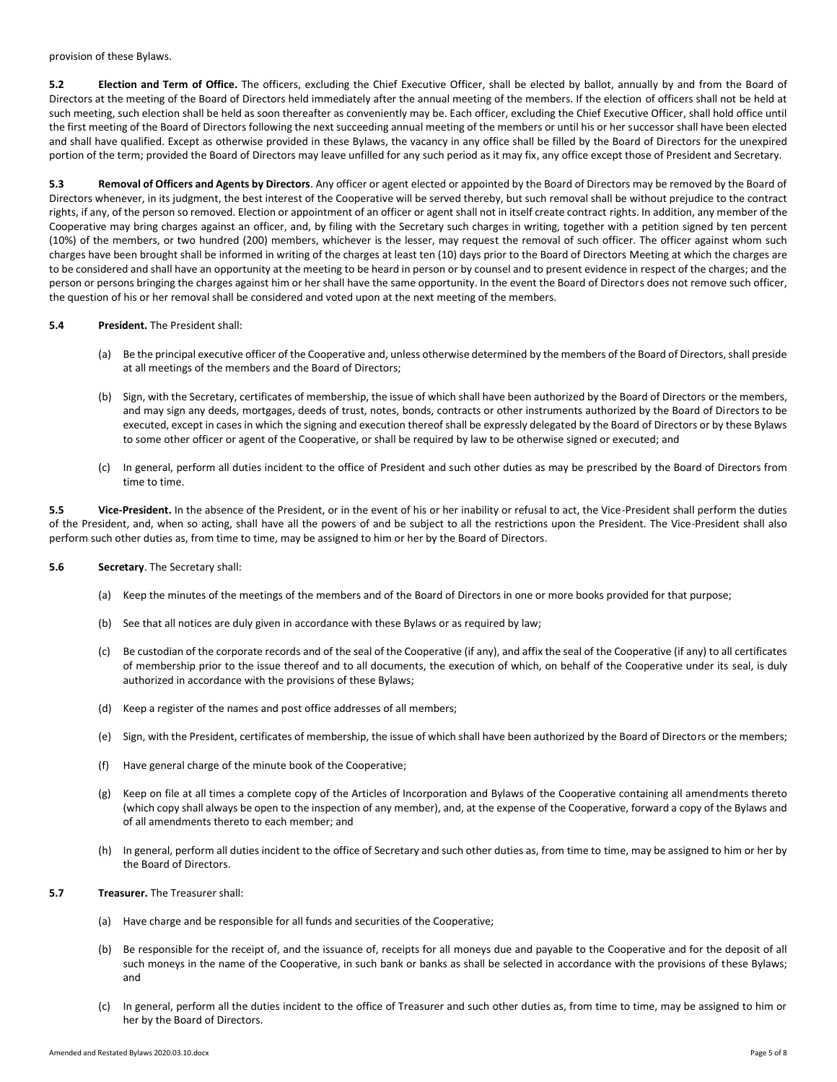provision of these Bylaws.

**5.2 Election and Term of Office.** The officers, excluding the Chief Executive Officer, shall be elected by ballot, annually by and from the Board of Directors at the meeting of the Board of Directors held immediately after the annual meeting of the members. If the election of officers shall not be held at such meeting, such election shall be held as soon thereafter as conveniently may be. Each officer, excluding the Chief Executive Officer, shall hold office until the first meeting of the Board of Directors following the next succeeding annual meeting of the members or until his or her successor shall have been elected and shall have qualified. Except as otherwise provided in these Bylaws, the vacancy in any office shall be filled by the Board of Directors for the unexpired portion of the term; provided the Board of Directors may leave unfilled for any such period as it may fix, any office except those of President and Secretary.

**5.3 Removal of Officers and Agents by Directors**. Any officer or agent elected or appointed by the Board of Directors may be removed by the Board of Directors whenever, in its judgment, the best interest of the Cooperative will be served thereby, but such removal shall be without prejudice to the contract rights, if any, of the person so removed. Election or appointment of an officer or agent shall not in itself create contract rights. In addition, any member of the Cooperative may bring charges against an officer, and, by filing with the Secretary such charges in writing, together with a petition signed by ten percent (10%) of the members, or two hundred (200) members, whichever is the lesser, may request the removal of such officer. The officer against whom such charges have been brought shall be informed in writing of the charges at least ten (10) days prior to the Board of Directors Meeting at which the charges are to be considered and shall have an opportunity at the meeting to be heard in person or by counsel and to present evidence in respect of the charges; and the person or persons bringing the charges against him or her shall have the same opportunity. In the event the Board of Directors does not remove such officer, the question of his or her removal shall be considered and voted upon at the next meeting of the members.

#### **5.4 President.** The President shall:

- (a) Be the principal executive officer of the Cooperative and, unless otherwise determined by the members of the Board of Directors, shall preside at all meetings of the members and the Board of Directors;
- (b) Sign, with the Secretary, certificates of membership, the issue of which shall have been authorized by the Board of Directors or the members, and may sign any deeds, mortgages, deeds of trust, notes, bonds, contracts or other instruments authorized by the Board of Directors to be executed, except in cases in which the signing and execution thereof shall be expressly delegated by the Board of Directors or by these Bylaws to some other officer or agent of the Cooperative, or shall be required by law to be otherwise signed or executed; and
- (c) In general, perform all duties incident to the office of President and such other duties as may be prescribed by the Board of Directors from time to time.

**5.5 Vice-President.** In the absence of the President, or in the event of his or her inability or refusal to act, the Vice-President shall perform the duties of the President, and, when so acting, shall have all the powers of and be subject to all the restrictions upon the President. The Vice-President shall also perform such other duties as, from time to time, may be assigned to him or her by the Board of Directors.

- **5.6 Secretary**. The Secretary shall:
	- (a) Keep the minutes of the meetings of the members and of the Board of Directors in one or more books provided for that purpose;
	- (b) See that all notices are duly given in accordance with these Bylaws or as required by law;
	- (c) Be custodian of the corporate records and of the seal of the Cooperative (if any), and affix the seal of the Cooperative (if any) to all certificates of membership prior to the issue thereof and to all documents, the execution of which, on behalf of the Cooperative under its seal, is duly authorized in accordance with the provisions of these Bylaws;
	- (d) Keep a register of the names and post office addresses of all members;
	- (e) Sign, with the President, certificates of membership, the issue of which shall have been authorized by the Board of Directors or the members;
	- (f) Have general charge of the minute book of the Cooperative;
	- (g) Keep on file at all times a complete copy of the Articles of Incorporation and Bylaws of the Cooperative containing all amendments thereto (which copy shall always be open to the inspection of any member), and, at the expense of the Cooperative, forward a copy of the Bylaws and of all amendments thereto to each member; and
	- (h) In general, perform all duties incident to the office of Secretary and such other duties as, from time to time, may be assigned to him or her by the Board of Directors.
- **5.7 Treasurer.** The Treasurer shall:
	- (a) Have charge and be responsible for all funds and securities of the Cooperative;
	- (b) Be responsible for the receipt of, and the issuance of, receipts for all moneys due and payable to the Cooperative and for the deposit of all such moneys in the name of the Cooperative, in such bank or banks as shall be selected in accordance with the provisions of these Bylaws; and
	- (c) In general, perform all the duties incident to the office of Treasurer and such other duties as, from time to time, may be assigned to him or her by the Board of Directors.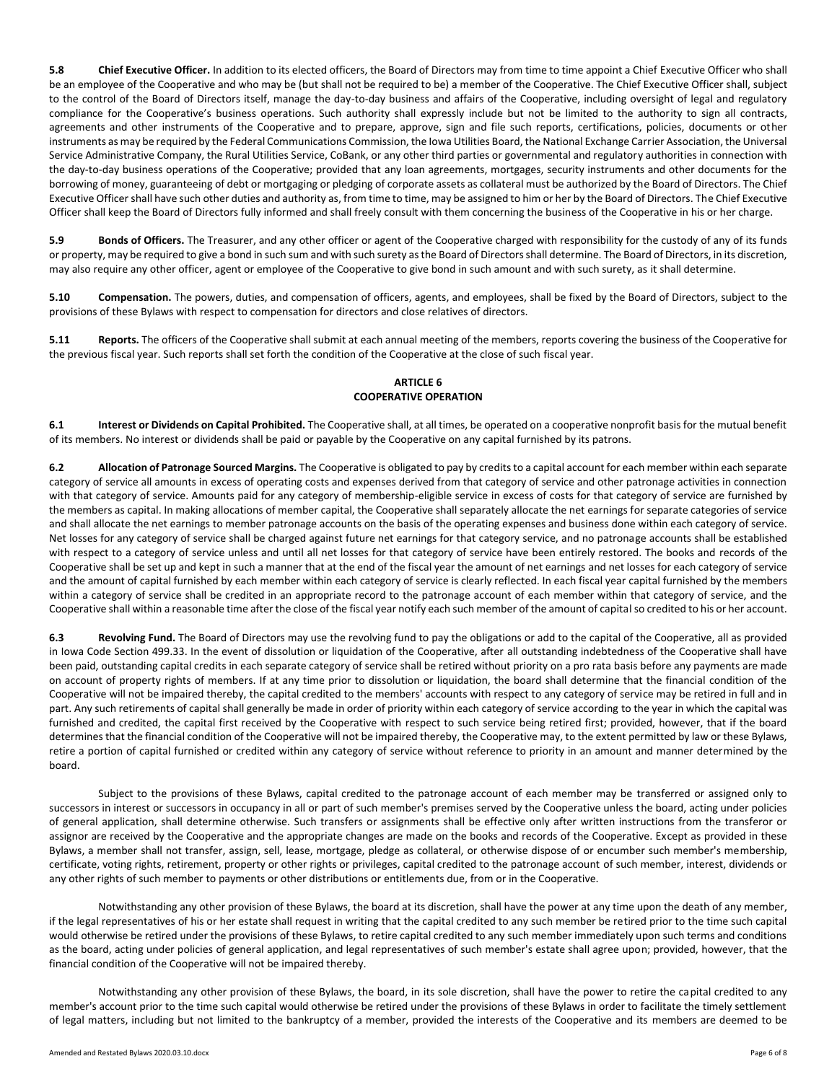**5.8 Chief Executive Officer.** In addition to its elected officers, the Board of Directors may from time to time appoint a Chief Executive Officer who shall be an employee of the Cooperative and who may be (but shall not be required to be) a member of the Cooperative. The Chief Executive Officer shall, subject to the control of the Board of Directors itself, manage the day-to-day business and affairs of the Cooperative, including oversight of legal and regulatory compliance for the Cooperative's business operations. Such authority shall expressly include but not be limited to the authority to sign all contracts, agreements and other instruments of the Cooperative and to prepare, approve, sign and file such reports, certifications, policies, documents or other instruments as may be required by the Federal Communications Commission, the Iowa Utilities Board, the National Exchange Carrier Association, the Universal Service Administrative Company, the Rural Utilities Service, CoBank, or any other third parties or governmental and regulatory authorities in connection with the day-to-day business operations of the Cooperative; provided that any loan agreements, mortgages, security instruments and other documents for the borrowing of money, guaranteeing of debt or mortgaging or pledging of corporate assets as collateral must be authorized by the Board of Directors. The Chief Executive Officer shall have such other duties and authority as, from time to time, may be assigned to him or her by the Board of Directors. The Chief Executive Officer shall keep the Board of Directors fully informed and shall freely consult with them concerning the business of the Cooperative in his or her charge.

**5.9 Bonds of Officers.** The Treasurer, and any other officer or agent of the Cooperative charged with responsibility for the custody of any of its funds or property, may be required to give a bond in such sum and with such surety as the Board of Directors shall determine. The Board of Directors, in its discretion, may also require any other officer, agent or employee of the Cooperative to give bond in such amount and with such surety, as it shall determine.

**5.10 Compensation.** The powers, duties, and compensation of officers, agents, and employees, shall be fixed by the Board of Directors, subject to the provisions of these Bylaws with respect to compensation for directors and close relatives of directors.

**5.11 Reports.** The officers of the Cooperative shall submit at each annual meeting of the members, reports covering the business of the Cooperative for the previous fiscal year. Such reports shall set forth the condition of the Cooperative at the close of such fiscal year.

# **ARTICLE 6 COOPERATIVE OPERATION**

**6.1 Interest or Dividends on Capital Prohibited.** The Cooperative shall, at all times, be operated on a cooperative nonprofit basis for the mutual benefit of its members. No interest or dividends shall be paid or payable by the Cooperative on any capital furnished by its patrons.

**6.2 Allocation of Patronage Sourced Margins.** The Cooperative is obligated to pay by credits to a capital account for each member within each separate category of service all amounts in excess of operating costs and expenses derived from that category of service and other patronage activities in connection with that category of service. Amounts paid for any category of membership-eligible service in excess of costs for that category of service are furnished by the members as capital. In making allocations of member capital, the Cooperative shall separately allocate the net earnings for separate categories of service and shall allocate the net earnings to member patronage accounts on the basis of the operating expenses and business done within each category of service. Net losses for any category of service shall be charged against future net earnings for that category service, and no patronage accounts shall be established with respect to a category of service unless and until all net losses for that category of service have been entirely restored. The books and records of the Cooperative shall be set up and kept in such a manner that at the end of the fiscal year the amount of net earnings and net losses for each category of service and the amount of capital furnished by each member within each category of service is clearly reflected. In each fiscal year capital furnished by the members within a category of service shall be credited in an appropriate record to the patronage account of each member within that category of service, and the Cooperative shall within a reasonable time after the close of the fiscal year notify each such member of the amount of capital so credited to his or her account.

**6.3 Revolving Fund.** The Board of Directors may use the revolving fund to pay the obligations or add to the capital of the Cooperative, all as provided in Iowa Code Section 499.33. In the event of dissolution or liquidation of the Cooperative, after all outstanding indebtedness of the Cooperative shall have been paid, outstanding capital credits in each separate category of service shall be retired without priority on a pro rata basis before any payments are made on account of property rights of members. If at any time prior to dissolution or liquidation, the board shall determine that the financial condition of the Cooperative will not be impaired thereby, the capital credited to the members' accounts with respect to any category of service may be retired in full and in part. Any such retirements of capital shall generally be made in order of priority within each category of service according to the year in which the capital was furnished and credited, the capital first received by the Cooperative with respect to such service being retired first; provided, however, that if the board determines that the financial condition of the Cooperative will not be impaired thereby, the Cooperative may, to the extent permitted by law or these Bylaws, retire a portion of capital furnished or credited within any category of service without reference to priority in an amount and manner determined by the board.

Subject to the provisions of these Bylaws, capital credited to the patronage account of each member may be transferred or assigned only to successors in interest or successors in occupancy in all or part of such member's premises served by the Cooperative unless the board, acting under policies of general application, shall determine otherwise. Such transfers or assignments shall be effective only after written instructions from the transferor or assignor are received by the Cooperative and the appropriate changes are made on the books and records of the Cooperative. Except as provided in these Bylaws, a member shall not transfer, assign, sell, lease, mortgage, pledge as collateral, or otherwise dispose of or encumber such member's membership, certificate, voting rights, retirement, property or other rights or privileges, capital credited to the patronage account of such member, interest, dividends or any other rights of such member to payments or other distributions or entitlements due, from or in the Cooperative.

Notwithstanding any other provision of these Bylaws, the board at its discretion, shall have the power at any time upon the death of any member, if the legal representatives of his or her estate shall request in writing that the capital credited to any such member be retired prior to the time such capital would otherwise be retired under the provisions of these Bylaws, to retire capital credited to any such member immediately upon such terms and conditions as the board, acting under policies of general application, and legal representatives of such member's estate shall agree upon; provided, however, that the financial condition of the Cooperative will not be impaired thereby.

Notwithstanding any other provision of these Bylaws, the board, in its sole discretion, shall have the power to retire the capital credited to any member's account prior to the time such capital would otherwise be retired under the provisions of these Bylaws in order to facilitate the timely settlement of legal matters, including but not limited to the bankruptcy of a member, provided the interests of the Cooperative and its members are deemed to be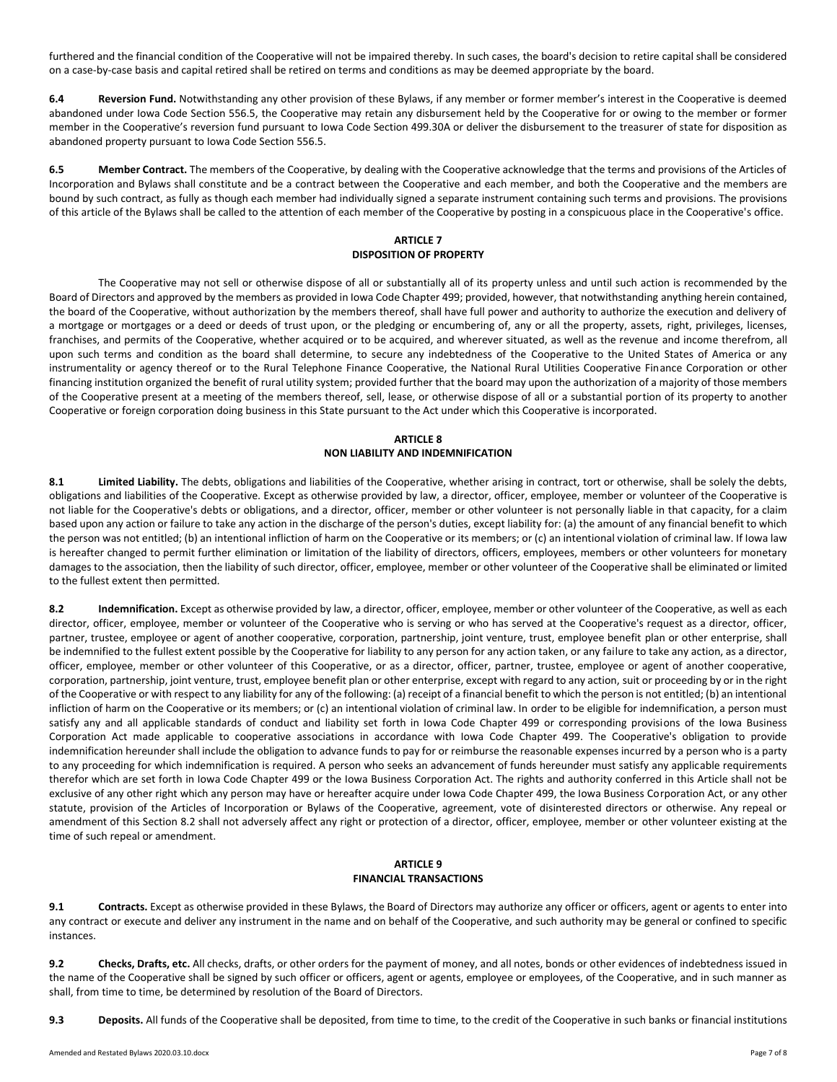furthered and the financial condition of the Cooperative will not be impaired thereby. In such cases, the board's decision to retire capital shall be considered on a case-by-case basis and capital retired shall be retired on terms and conditions as may be deemed appropriate by the board.

**6.4 Reversion Fund.** Notwithstanding any other provision of these Bylaws, if any member or former member's interest in the Cooperative is deemed abandoned under Iowa Code Section 556.5, the Cooperative may retain any disbursement held by the Cooperative for or owing to the member or former member in the Cooperative's reversion fund pursuant to Iowa Code Section 499.30A or deliver the disbursement to the treasurer of state for disposition as abandoned property pursuant to Iowa Code Section 556.5.

**6.5 Member Contract.** The members of the Cooperative, by dealing with the Cooperative acknowledge that the terms and provisions of the Articles of Incorporation and Bylaws shall constitute and be a contract between the Cooperative and each member, and both the Cooperative and the members are bound by such contract, as fully as though each member had individually signed a separate instrument containing such terms and provisions. The provisions of this article of the Bylaws shall be called to the attention of each member of the Cooperative by posting in a conspicuous place in the Cooperative's office.

## **ARTICLE 7 DISPOSITION OF PROPERTY**

The Cooperative may not sell or otherwise dispose of all or substantially all of its property unless and until such action is recommended by the Board of Directors and approved by the members as provided in Iowa Code Chapter 499; provided, however, that notwithstanding anything herein contained, the board of the Cooperative, without authorization by the members thereof, shall have full power and authority to authorize the execution and delivery of a mortgage or mortgages or a deed or deeds of trust upon, or the pledging or encumbering of, any or all the property, assets, right, privileges, licenses, franchises, and permits of the Cooperative, whether acquired or to be acquired, and wherever situated, as well as the revenue and income therefrom, all upon such terms and condition as the board shall determine, to secure any indebtedness of the Cooperative to the United States of America or any instrumentality or agency thereof or to the Rural Telephone Finance Cooperative, the National Rural Utilities Cooperative Finance Corporation or other financing institution organized the benefit of rural utility system; provided further that the board may upon the authorization of a majority of those members of the Cooperative present at a meeting of the members thereof, sell, lease, or otherwise dispose of all or a substantial portion of its property to another Cooperative or foreign corporation doing business in this State pursuant to the Act under which this Cooperative is incorporated.

# **ARTICLE 8 NON LIABILITY AND INDEMNIFICATION**

**8.1 Limited Liability.** The debts, obligations and liabilities of the Cooperative, whether arising in contract, tort or otherwise, shall be solely the debts, obligations and liabilities of the Cooperative. Except as otherwise provided by law, a director, officer, employee, member or volunteer of the Cooperative is not liable for the Cooperative's debts or obligations, and a director, officer, member or other volunteer is not personally liable in that capacity, for a claim based upon any action or failure to take any action in the discharge of the person's duties, except liability for: (a) the amount of any financial benefit to which the person was not entitled; (b) an intentional infliction of harm on the Cooperative or its members; or (c) an intentional violation of criminal law. If Iowa law is hereafter changed to permit further elimination or limitation of the liability of directors, officers, employees, members or other volunteers for monetary damages to the association, then the liability of such director, officer, employee, member or other volunteer of the Cooperative shall be eliminated or limited to the fullest extent then permitted.

**8.2 Indemnification.** Except as otherwise provided by law, a director, officer, employee, member or other volunteer of the Cooperative, as well as each director, officer, employee, member or volunteer of the Cooperative who is serving or who has served at the Cooperative's request as a director, officer, partner, trustee, employee or agent of another cooperative, corporation, partnership, joint venture, trust, employee benefit plan or other enterprise, shall be indemnified to the fullest extent possible by the Cooperative for liability to any person for any action taken, or any failure to take any action, as a director, officer, employee, member or other volunteer of this Cooperative, or as a director, officer, partner, trustee, employee or agent of another cooperative, corporation, partnership, joint venture, trust, employee benefit plan or other enterprise, except with regard to any action, suit or proceeding by or in the right of the Cooperative or with respect to any liability for any of the following: (a) receipt of a financial benefit to which the person is not entitled; (b) an intentional infliction of harm on the Cooperative or its members; or (c) an intentional violation of criminal law. In order to be eligible for indemnification, a person must satisfy any and all applicable standards of conduct and liability set forth in Iowa Code Chapter 499 or corresponding provisions of the Iowa Business Corporation Act made applicable to cooperative associations in accordance with Iowa Code Chapter 499. The Cooperative's obligation to provide indemnification hereunder shall include the obligation to advance funds to pay for or reimburse the reasonable expenses incurred by a person who is a party to any proceeding for which indemnification is required. A person who seeks an advancement of funds hereunder must satisfy any applicable requirements therefor which are set forth in Iowa Code Chapter 499 or the Iowa Business Corporation Act. The rights and authority conferred in this Article shall not be exclusive of any other right which any person may have or hereafter acquire under Iowa Code Chapter 499, the Iowa Business Corporation Act, or any other statute, provision of the Articles of Incorporation or Bylaws of the Cooperative, agreement, vote of disinterested directors or otherwise. Any repeal or amendment of this Section 8.2 shall not adversely affect any right or protection of a director, officer, employee, member or other volunteer existing at the time of such repeal or amendment.

## **ARTICLE 9 FINANCIAL TRANSACTIONS**

**9.1 Contracts.** Except as otherwise provided in these Bylaws, the Board of Directors may authorize any officer or officers, agent or agents to enter into any contract or execute and deliver any instrument in the name and on behalf of the Cooperative, and such authority may be general or confined to specific instances.

**9.2 Checks, Drafts, etc.** All checks, drafts, or other orders for the payment of money, and all notes, bonds or other evidences of indebtedness issued in the name of the Cooperative shall be signed by such officer or officers, agent or agents, employee or employees, of the Cooperative, and in such manner as shall, from time to time, be determined by resolution of the Board of Directors.

**9.3 Deposits.** All funds of the Cooperative shall be deposited, from time to time, to the credit of the Cooperative in such banks or financial institutions